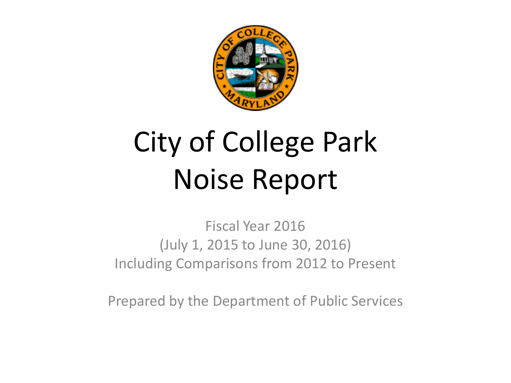

# City of College Park Noise Report

Fiscal Year 2016 (July 1, 2015 to June 30, 2016) Including Comparisons from 2012 to Present

Prepared by the Department of Public Services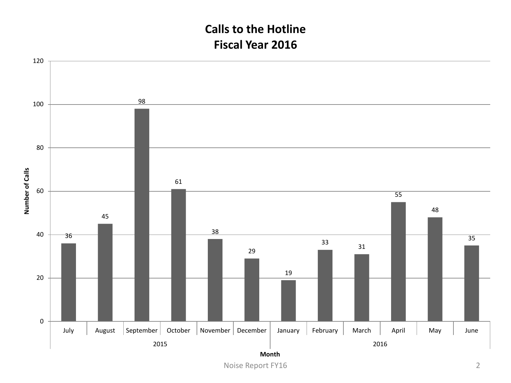#### **Calls to the Hotline Fiscal Year 2016**

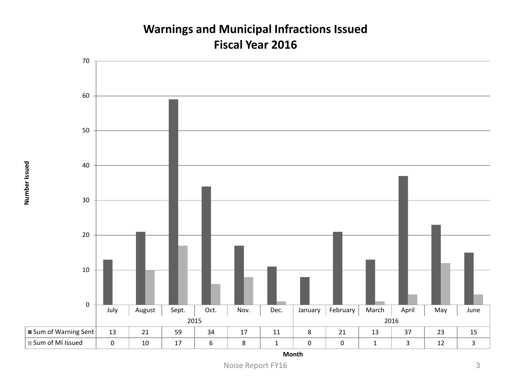#### **Warnings and Municipal Infractions Issued Fiscal Year 2016**



**Month**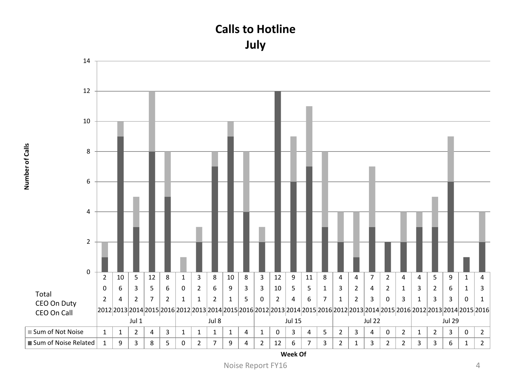



**Number of Calls**

Number of Calls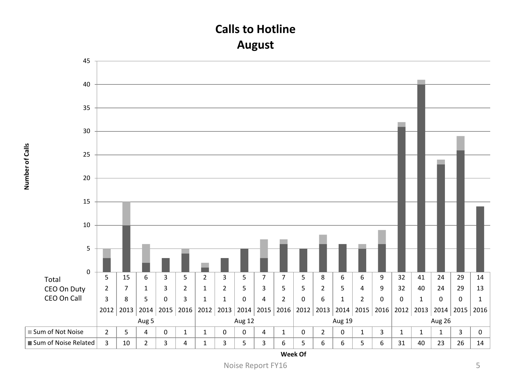#### **Calls to Hotline August**



**Number of Calls**

Number of Calls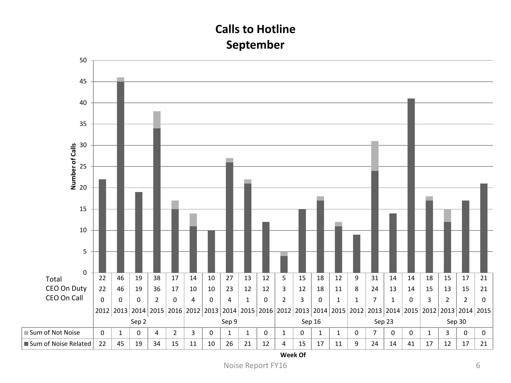### **Calls to Hotline September**

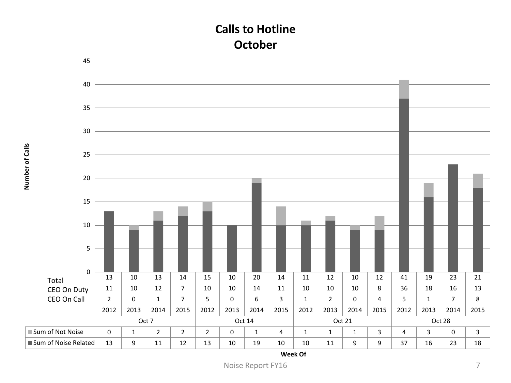#### **Calls to Hotline October**



**Number of Calls**

Number of Calls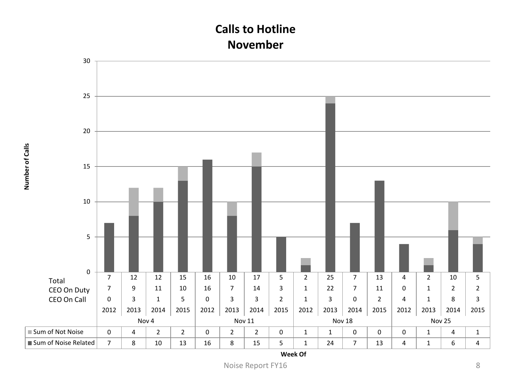#### **Calls to Hotline November**

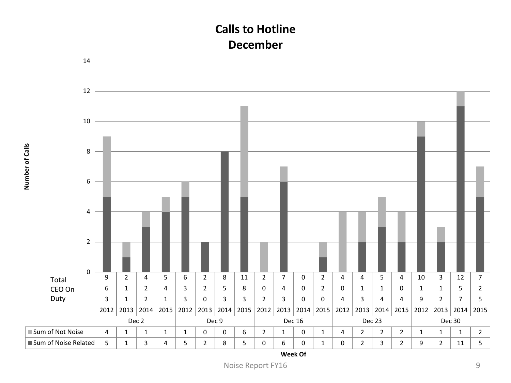#### **Calls to Hotline December**

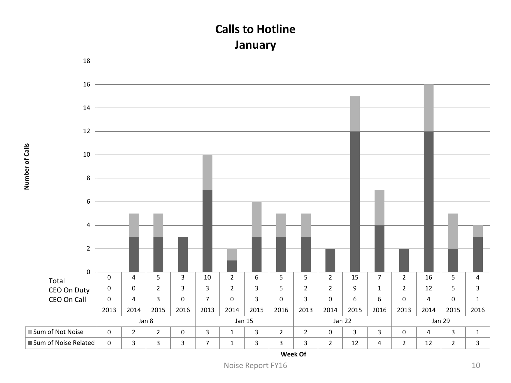#### **Calls to Hotline January**

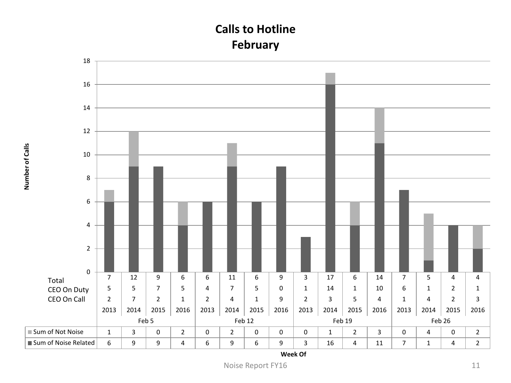### **Calls to Hotline February**

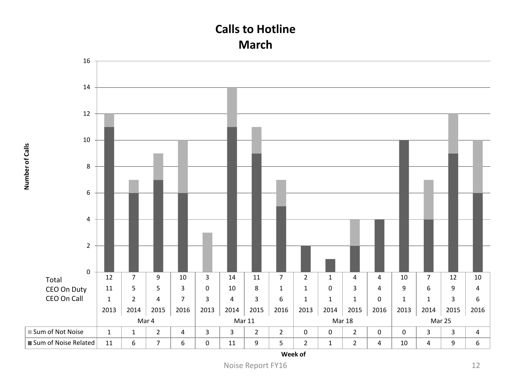#### **Calls to Hotline March**



**Number of Calls**

Number of Calls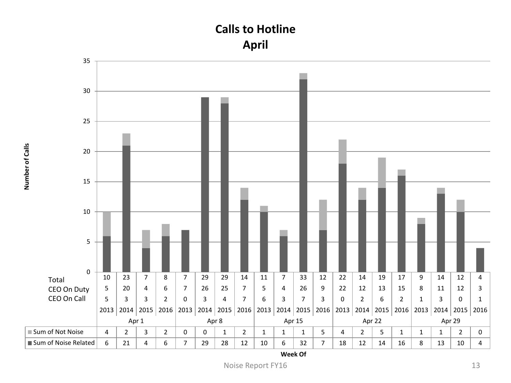#### **Calls to Hotline April**



**Number of Calls**

Number of Calls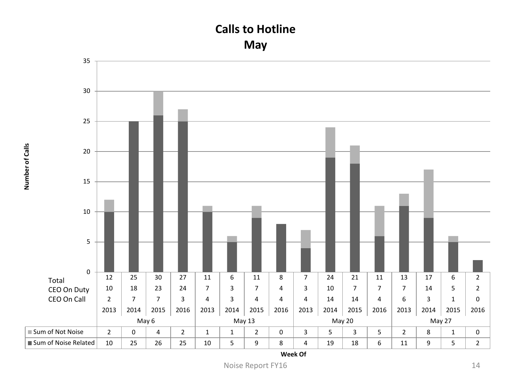#### **Calls to Hotline May**

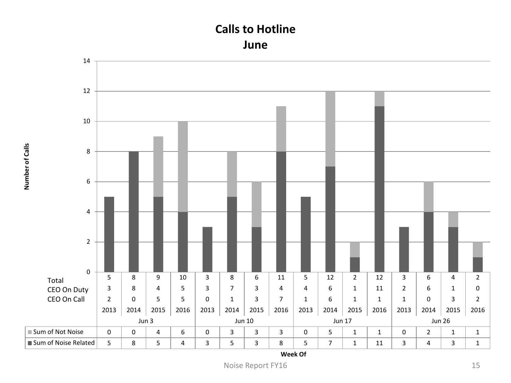#### **Calls to Hotline June**



**Number of Calls**

Number of Calls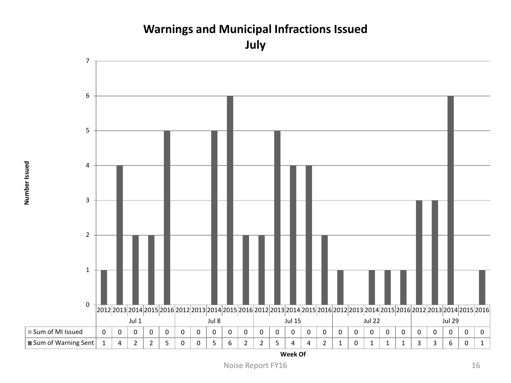#### **Warnings and Municipal Infractions Issued July**

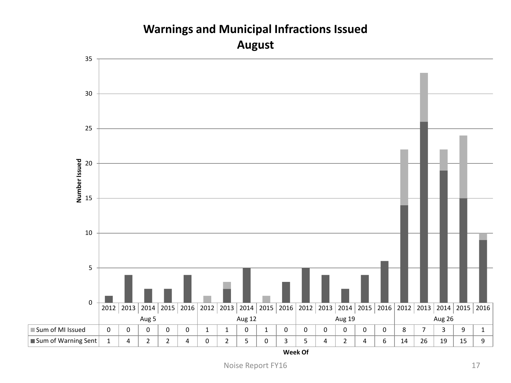## 2012 2013 2014 2015 2016 2012 2013 2014 2015 2016 2012 2013 2014 2015 2016 2012 2013 2014 2015 2016 Aug 5 Aug 12 Aug 19 Aug 26 Sum of MI Issued 0 0 0 0 0 1 1 0 1 0 0 0 0 0 0 8 7 3 9 1 ■Sum of Warning Sent | 1 | 4 | 2 | 2 | 4 | 0 | 2 | 5 | 0 | 3 | 5 | 4 | 2 | 4 | 6 | 14 | 26 | 19 | 15 | 9 0 5 10 15 20 25 30 35 **Number Issued August**

## **Warnings and Municipal Infractions Issued**

Noise Report FY16 17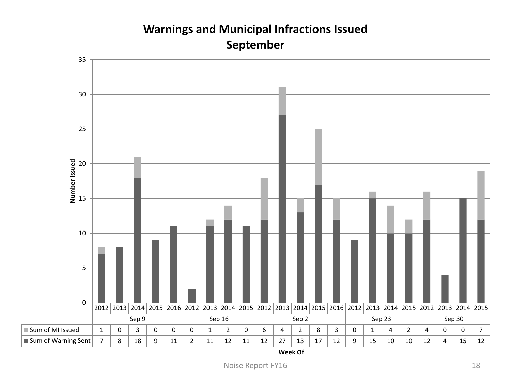## 2012 2013 2014 2015 2016 2012 2013 2014 2015 2012 2013 2014 2015 2016 2012 2013 2014 2015 2012 2013 2014 2015 Sep 9 Sep 16 Sep 2 Sep 23 Sep 30 Sum of MI Issued | 1 | 0 | 3 | 0 | 0 | 0 | 1 | 2 | 0 | 6 | 4 | 2 | 8 | 3 | 0 | 1 | 4 | 2 | 4 | 0 | 0 | 7 Sum of Warning Sent | 7 | 8 | 18 | 9 | 11 | 2 | 11 | 12 | 11 | 12 | 27 | 13 | 17 | 12 | 9 | 15 | 10 | 10 | 12 | 4 | 15 | 12 0 5 10 15 20 25 30 35 **Number Issued**

#### **Warnings and Municipal Infractions Issued September**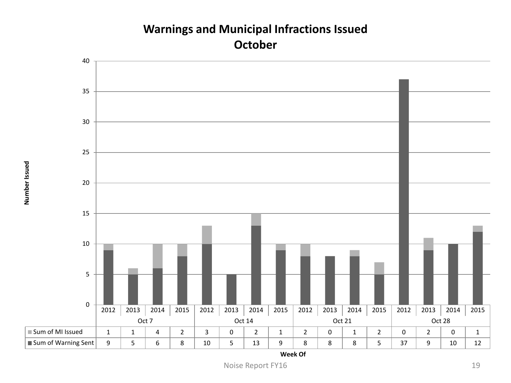#### **Warnings and Municipal Infractions Issued October**

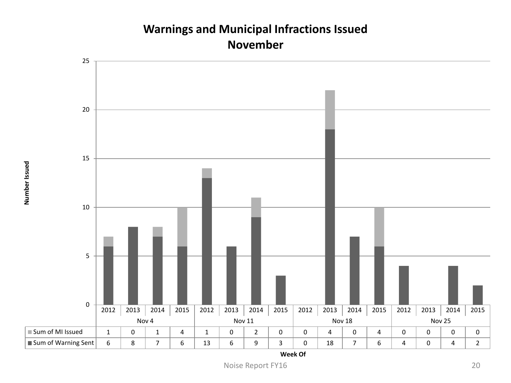#### **Warnings and Municipal Infractions Issued November**



**Week Of**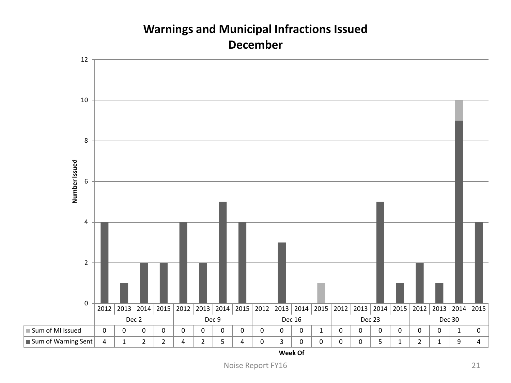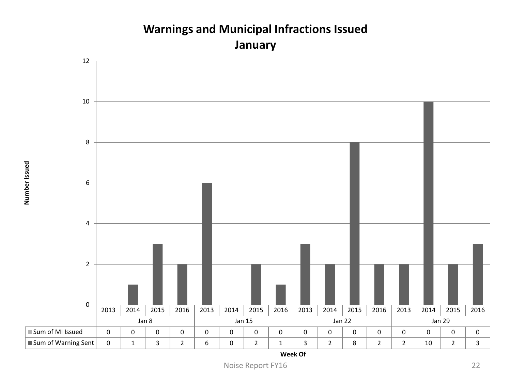

#### **Warnings and Municipal Infractions Issued January**

Number Issued **Number Issued**

Noise Report FY16 22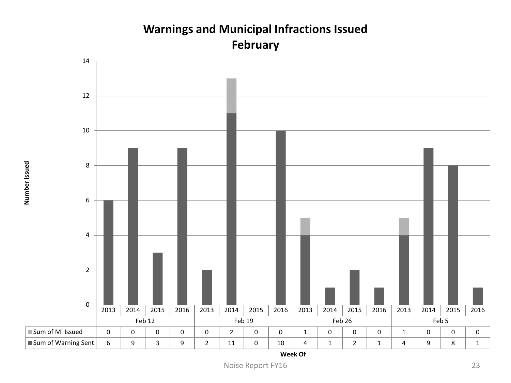

**Warnings and Municipal Infractions Issued**

**Week Of**

Noise Report FY16 23

Number Issued **Number Issued**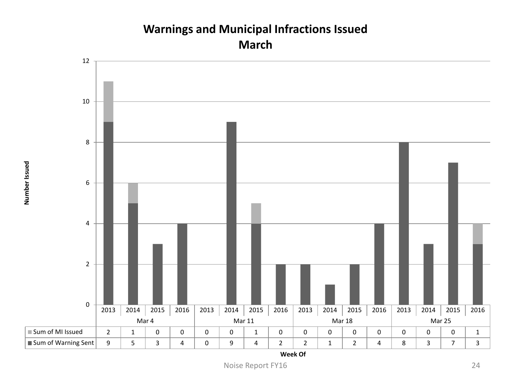#### **Warnings and Municipal Infractions Issued March**



**Week Of**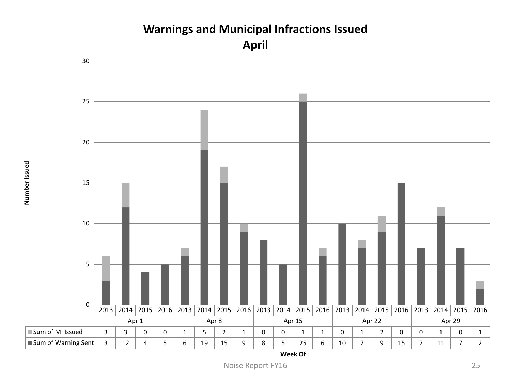

Number Issued **Number Issued**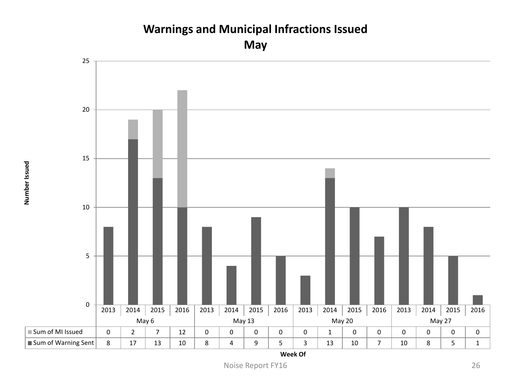## **Warnings and Municipal Infractions Issued**

**May**